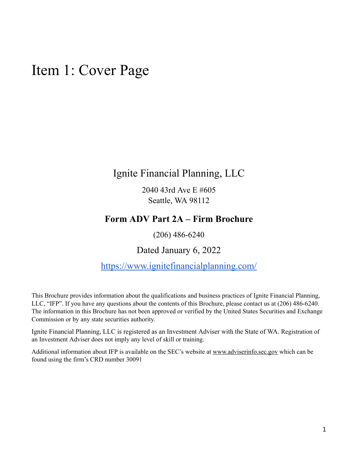## <span id="page-0-0"></span>Item 1: Cover Page

Ignite Financial Planning, LLC

2040 43rd Ave E #605 Seattle, WA 98112

## **Form ADV Part 2A – Firm Brochure**

(206) 486-6240

Dated January 6, 2022

<https://www.ignitefinancialplanning.com/>

This Brochure provides information about the qualifications and business practices of Ignite Financial Planning, LLC, "IFP". If you have any questions about the contents of this Brochure, please contact us at (206) 486-6240. The information in this Brochure has not been approved or verified by the United States Securities and Exchange Commission or by any state securities authority.

Ignite Financial Planning, LLC is registered as an Investment Adviser with the State of WA. Registration of an Investment Adviser does not imply any level of skill or training.

Additional information about IFP is available on the SEC's website at [www.adviserinfo.sec.gov](http://www.adviserinfo.sec.gov/) which can be found using the firm's CRD number 30091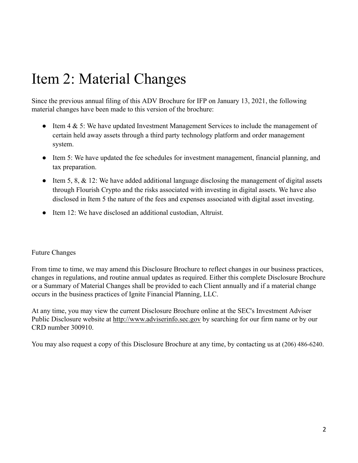## <span id="page-1-0"></span>Item 2: Material Changes

Since the previous annual filing of this ADV Brochure for IFP on January 13, 2021, the following material changes have been made to this version of the brochure:

- Item 4 & 5: We have updated Investment Management Services to include the management of certain held away assets through a third party technology platform and order management system.
- Item 5: We have updated the fee schedules for investment management, financial planning, and tax preparation.
- Item 5, 8, & 12: We have added additional language disclosing the management of digital assets through Flourish Crypto and the risks associated with investing in digital assets. We have also disclosed in Item 5 the nature of the fees and expenses associated with digital asset investing.
- Item 12: We have disclosed an additional custodian, Altruist.

### Future Changes

From time to time, we may amend this Disclosure Brochure to reflect changes in our business practices, changes in regulations, and routine annual updates as required. Either this complete Disclosure Brochure or a Summary of Material Changes shall be provided to each Client annually and if a material change occurs in the business practices of Ignite Financial Planning, LLC.

At any time, you may view the current Disclosure Brochure online at the SEC's Investment Adviser Public Disclosure website at [http://www.adviserinfo.sec.gov](http://www.adviserinfo.sec.gov/) by searching for our firm name or by our CRD number 300910.

You may also request a copy of this Disclosure Brochure at any time, by contacting us at (206) 486-6240.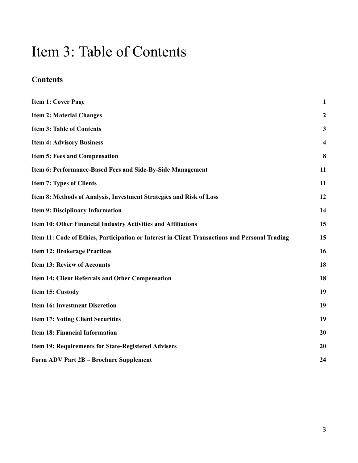## <span id="page-2-0"></span>Item 3: Table of Contents

## **Contents**

| <b>Item 1: Cover Page</b>                                                                      | $\mathbf{1}$            |
|------------------------------------------------------------------------------------------------|-------------------------|
| <b>Item 2: Material Changes</b>                                                                | $\boldsymbol{2}$        |
| <b>Item 3: Table of Contents</b>                                                               | 3                       |
| <b>Item 4: Advisory Business</b>                                                               | $\overline{\mathbf{4}}$ |
| <b>Item 5: Fees and Compensation</b>                                                           | 8                       |
| Item 6: Performance-Based Fees and Side-By-Side Management                                     | 11                      |
| <b>Item 7: Types of Clients</b>                                                                | 11                      |
| Item 8: Methods of Analysis, Investment Strategies and Risk of Loss                            | 12                      |
| Item 9: Disciplinary Information                                                               | 14                      |
| Item 10: Other Financial Industry Activities and Affiliations                                  | 15                      |
| Item 11: Code of Ethics, Participation or Interest in Client Transactions and Personal Trading | 15                      |
| <b>Item 12: Brokerage Practices</b>                                                            | 16                      |
| <b>Item 13: Review of Accounts</b>                                                             | 18                      |
| Item 14: Client Referrals and Other Compensation                                               | 18                      |
| Item 15: Custody                                                                               | 19                      |
| <b>Item 16: Investment Discretion</b>                                                          | 19                      |
| <b>Item 17: Voting Client Securities</b>                                                       | 19                      |
| <b>Item 18: Financial Information</b>                                                          | 20                      |
| Item 19: Requirements for State-Registered Advisers                                            | 20                      |
| Form ADV Part 2B - Brochure Supplement                                                         | 24                      |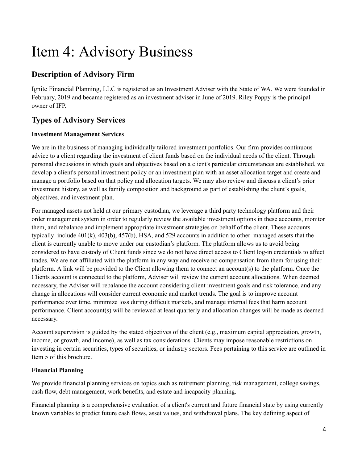## <span id="page-3-0"></span>Item 4: Advisory Business

## **Description of Advisory Firm**

Ignite Financial Planning, LLC is registered as an Investment Adviser with the State of WA. We were founded in February, 2019 and became registered as an investment adviser in June of 2019. Riley Poppy is the principal owner of IFP.

## **Types of Advisory Services**

### **Investment Management Services**

We are in the business of managing individually tailored investment portfolios. Our firm provides continuous advice to a client regarding the investment of client funds based on the individual needs of the client. Through personal discussions in which goals and objectives based on a client's particular circumstances are established, we develop a client's personal investment policy or an investment plan with an asset allocation target and create and manage a portfolio based on that policy and allocation targets. We may also review and discuss a client's prior investment history, as well as family composition and background as part of establishing the client's goals, objectives, and investment plan.

For managed assets not held at our primary custodian, we leverage a third party technology platform and their order management system in order to regularly review the available investment options in these accounts, monitor them, and rebalance and implement appropriate investment strategies on behalf of the client. These accounts typically include 401(k), 403(b), 457(b), HSA, and 529 accounts in addition to other managed assets that the client is currently unable to move under our custodian's platform. The platform allows us to avoid being considered to have custody of Client funds since we do not have direct access to Client log-in credentials to affect trades. We are not affiliated with the platform in any way and receive no compensation from them for using their platform. A link will be provided to the Client allowing them to connect an account(s) to the platform. Once the Clients account is connected to the platform, Adviser will review the current account allocations. When deemed necessary, the Adviser will rebalance the account considering client investment goals and risk tolerance, and any change in allocations will consider current economic and market trends. The goal is to improve account performance over time, minimize loss during difficult markets, and manage internal fees that harm account performance. Client account(s) will be reviewed at least quarterly and allocation changes will be made as deemed necessary.

Account supervision is guided by the stated objectives of the client (e.g., maximum capital appreciation, growth, income, or growth, and income), as well as tax considerations. Clients may impose reasonable restrictions on investing in certain securities, types of securities, or industry sectors. Fees pertaining to this service are outlined in Item 5 of this brochure.

### **Financial Planning**

We provide financial planning services on topics such as retirement planning, risk management, college savings, cash flow, debt management, work benefits, and estate and incapacity planning.

Financial planning is a comprehensive evaluation of a client's current and future financial state by using currently known variables to predict future cash flows, asset values, and withdrawal plans. The key defining aspect of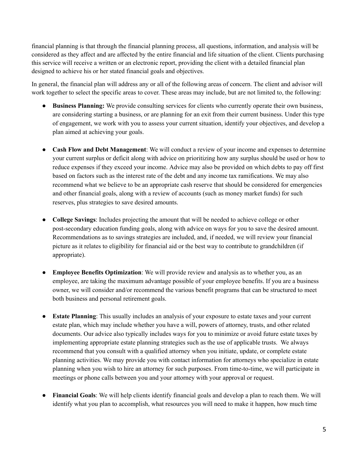financial planning is that through the financial planning process, all questions, information, and analysis will be considered as they affect and are affected by the entire financial and life situation of the client. Clients purchasing this service will receive a written or an electronic report, providing the client with a detailed financial plan designed to achieve his or her stated financial goals and objectives.

In general, the financial plan will address any or all of the following areas of concern. The client and advisor will work together to select the specific areas to cover. These areas may include, but are not limited to, the following:

- **Business Planning:** We provide consulting services for clients who currently operate their own business, are considering starting a business, or are planning for an exit from their current business. Under this type of engagement, we work with you to assess your current situation, identify your objectives, and develop a plan aimed at achieving your goals.
- **Cash Flow and Debt Management**: We will conduct a review of your income and expenses to determine your current surplus or deficit along with advice on prioritizing how any surplus should be used or how to reduce expenses if they exceed your income. Advice may also be provided on which debts to pay off first based on factors such as the interest rate of the debt and any income tax ramifications. We may also recommend what we believe to be an appropriate cash reserve that should be considered for emergencies and other financial goals, along with a review of accounts (such as money market funds) for such reserves, plus strategies to save desired amounts.
- **College Savings**: Includes projecting the amount that will be needed to achieve college or other post-secondary education funding goals, along with advice on ways for you to save the desired amount. Recommendations as to savings strategies are included, and, if needed, we will review your financial picture as it relates to eligibility for financial aid or the best way to contribute to grandchildren (if appropriate).
- **Employee Benefits Optimization**: We will provide review and analysis as to whether you, as an employee, are taking the maximum advantage possible of your employee benefits. If you are a business owner, we will consider and/or recommend the various benefit programs that can be structured to meet both business and personal retirement goals.
- **Estate Planning**: This usually includes an analysis of your exposure to estate taxes and your current estate plan, which may include whether you have a will, powers of attorney, trusts, and other related documents. Our advice also typically includes ways for you to minimize or avoid future estate taxes by implementing appropriate estate planning strategies such as the use of applicable trusts. We always recommend that you consult with a qualified attorney when you initiate, update, or complete estate planning activities. We may provide you with contact information for attorneys who specialize in estate planning when you wish to hire an attorney for such purposes. From time-to-time, we will participate in meetings or phone calls between you and your attorney with your approval or request.
- **Financial Goals**: We will help clients identify financial goals and develop a plan to reach them. We will identify what you plan to accomplish, what resources you will need to make it happen, how much time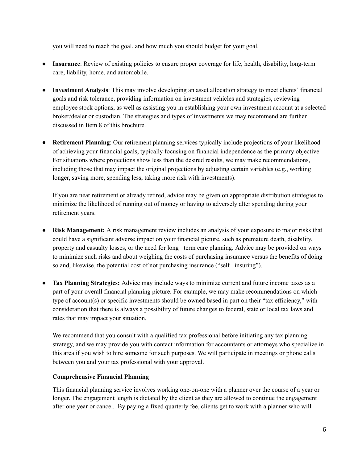you will need to reach the goal, and how much you should budget for your goal.

- **Insurance**: Review of existing policies to ensure proper coverage for life, health, disability, long-term care, liability, home, and automobile.
- **Investment Analysis**: This may involve developing an asset allocation strategy to meet clients' financial goals and risk tolerance, providing information on investment vehicles and strategies, reviewing employee stock options, as well as assisting you in establishing your own investment account at a selected broker/dealer or custodian. The strategies and types of investments we may recommend are further discussed in Item 8 of this brochure.
- **Retirement Planning**: Our retirement planning services typically include projections of your likelihood of achieving your financial goals, typically focusing on financial independence as the primary objective. For situations where projections show less than the desired results, we may make recommendations, including those that may impact the original projections by adjusting certain variables (e.g., working longer, saving more, spending less, taking more risk with investments).

If you are near retirement or already retired, advice may be given on appropriate distribution strategies to minimize the likelihood of running out of money or having to adversely alter spending during your retirement years.

- **Risk Management:** A risk management review includes an analysis of your exposure to major risks that could have a significant adverse impact on your financial picture, such as premature death, disability, property and casualty losses, or the need for long term care planning. Advice may be provided on ways to minimize such risks and about weighing the costs of purchasing insurance versus the benefits of doing so and, likewise, the potential cost of not purchasing insurance ("self insuring").
- Tax Planning Strategies: Advice may include ways to minimize current and future income taxes as a part of your overall financial planning picture. For example, we may make recommendations on which type of account(s) or specific investments should be owned based in part on their "tax efficiency," with consideration that there is always a possibility of future changes to federal, state or local tax laws and rates that may impact your situation.

We recommend that you consult with a qualified tax professional before initiating any tax planning strategy, and we may provide you with contact information for accountants or attorneys who specialize in this area if you wish to hire someone for such purposes. We will participate in meetings or phone calls between you and your tax professional with your approval.

#### **Comprehensive Financial Planning**

This financial planning service involves working one-on-one with a planner over the course of a year or longer. The engagement length is dictated by the client as they are allowed to continue the engagement after one year or cancel. By paying a fixed quarterly fee, clients get to work with a planner who will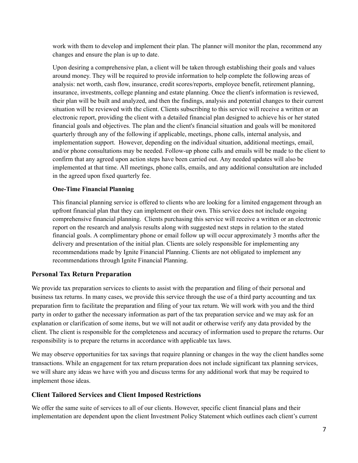work with them to develop and implement their plan. The planner will monitor the plan, recommend any changes and ensure the plan is up to date.

Upon desiring a comprehensive plan, a client will be taken through establishing their goals and values around money. They will be required to provide information to help complete the following areas of analysis: net worth, cash flow, insurance, credit scores/reports, employee benefit, retirement planning, insurance, investments, college planning and estate planning. Once the client's information is reviewed, their plan will be built and analyzed, and then the findings, analysis and potential changes to their current situation will be reviewed with the client. Clients subscribing to this service will receive a written or an electronic report, providing the client with a detailed financial plan designed to achieve his or her stated financial goals and objectives. The plan and the client's financial situation and goals will be monitored quarterly through any of the following if applicable, meetings, phone calls, internal analysis, and implementation support. However, depending on the individual situation, additional meetings, email, and/or phone consultations may be needed. Follow-up phone calls and emails will be made to the client to confirm that any agreed upon action steps have been carried out. Any needed updates will also be implemented at that time. All meetings, phone calls, emails, and any additional consultation are included in the agreed upon fixed quarterly fee.

#### **One-Time Financial Planning**

This financial planning service is offered to clients who are looking for a limited engagement through an upfront financial plan that they can implement on their own. This service does not include ongoing comprehensive financial planning. Clients purchasing this service will receive a written or an electronic report on the research and analysis results along with suggested next steps in relation to the stated financial goals. A complimentary phone or email follow up will occur approximately 3 months after the delivery and presentation of the initial plan. Clients are solely responsible for implementing any recommendations made by Ignite Financial Planning. Clients are not obligated to implement any recommendations through Ignite Financial Planning.

#### **Personal Tax Return Preparation**

We provide tax preparation services to clients to assist with the preparation and filing of their personal and business tax returns. In many cases, we provide this service through the use of a third party accounting and tax preparation firm to facilitate the preparation and filing of your tax return. We will work with you and the third party in order to gather the necessary information as part of the tax preparation service and we may ask for an explanation or clarification of some items, but we will not audit or otherwise verify any data provided by the client. The client is responsible for the completeness and accuracy of information used to prepare the returns. Our responsibility is to prepare the returns in accordance with applicable tax laws.

We may observe opportunities for tax savings that require planning or changes in the way the client handles some transactions. While an engagement for tax return preparation does not include significant tax planning services, we will share any ideas we have with you and discuss terms for any additional work that may be required to implement those ideas.

#### **Client Tailored Services and Client Imposed Restrictions**

We offer the same suite of services to all of our clients. However, specific client financial plans and their implementation are dependent upon the client Investment Policy Statement which outlines each client's current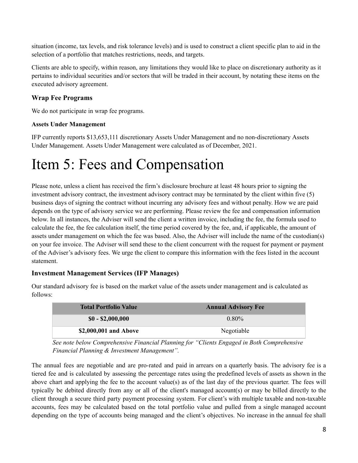situation (income, tax levels, and risk tolerance levels) and is used to construct a client specific plan to aid in the selection of a portfolio that matches restrictions, needs, and targets.

Clients are able to specify, within reason, any limitations they would like to place on discretionary authority as it pertains to individual securities and/or sectors that will be traded in their account, by notating these items on the executed advisory agreement.

### **Wrap Fee Programs**

We do not participate in wrap fee programs.

#### **Assets Under Management**

IFP currently reports \$13,653,111 discretionary Assets Under Management and no non-discretionary Assets Under Management. Assets Under Management were calculated as of December, 2021.

## <span id="page-7-0"></span>Item 5: Fees and Compensation

Please note, unless a client has received the firm's disclosure brochure at least 48 hours prior to signing the investment advisory contract, the investment advisory contract may be terminated by the client within five (5) business days of signing the contract without incurring any advisory fees and without penalty. How we are paid depends on the type of advisory service we are performing. Please review the fee and compensation information below. In all instances, the Adviser will send the client a written invoice, including the fee, the formula used to calculate the fee, the fee calculation itself, the time period covered by the fee, and, if applicable, the amount of assets under management on which the fee was based. Also, the Adviser will include the name of the custodian(s) on your fee invoice. The Adviser will send these to the client concurrent with the request for payment or payment of the Adviser's advisory fees. We urge the client to compare this information with the fees listed in the account statement.

### **Investment Management Services (IFP Manages)**

| <b>Total Portfolio Value</b> | <b>Annual Advisory Fee</b> |
|------------------------------|----------------------------|
| $$0 - $2,000,000$            | $0.80\%$                   |
| \$2,000,001 and Above        | Negotiable                 |

Our standard advisory fee is based on the market value of the assets under management and is calculated as follows:

*See note below Comprehensive Financial Planning for "Clients Engaged in Both Comprehensive Financial Planning & Investment Management".*

The annual fees are negotiable and are pro-rated and paid in arrears on a quarterly basis. The advisory fee is a tiered fee and is calculated by assessing the percentage rates using the predefined levels of assets as shown in the above chart and applying the fee to the account value(s) as of the last day of the previous quarter. The fees will typically be debited directly from any or all of the client's managed account(s) or may be billed directly to the client through a secure third party payment processing system. For client's with multiple taxable and non-taxable accounts, fees may be calculated based on the total portfolio value and pulled from a single managed account depending on the type of accounts being managed and the client's objectives. No increase in the annual fee shall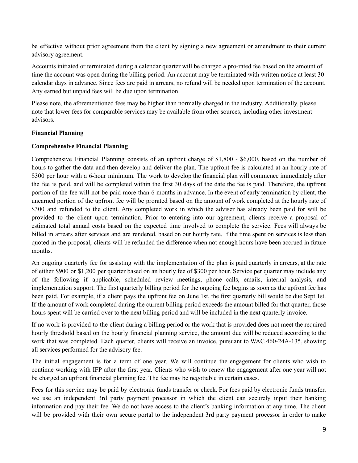be effective without prior agreement from the client by signing a new agreement or amendment to their current advisory agreement.

Accounts initiated or terminated during a calendar quarter will be charged a pro-rated fee based on the amount of time the account was open during the billing period. An account may be terminated with written notice at least 30 calendar days in advance. Since fees are paid in arrears, no refund will be needed upon termination of the account. Any earned but unpaid fees will be due upon termination.

Please note, the aforementioned fees may be higher than normally charged in the industry. Additionally, please note that lower fees for comparable services may be available from other sources, including other investment advisors.

#### **Financial Planning**

#### **Comprehensive Financial Planning**

Comprehensive Financial Planning consists of an upfront charge of \$1,800 - \$6,000, based on the number of hours to gather the data and then develop and deliver the plan. The upfront fee is calculated at an hourly rate of \$300 per hour with a 6-hour minimum. The work to develop the financial plan will commence immediately after the fee is paid, and will be completed within the first 30 days of the date the fee is paid. Therefore, the upfront portion of the fee will not be paid more than 6 months in advance. In the event of early termination by client, the unearned portion of the upfront fee will be prorated based on the amount of work completed at the hourly rate of \$300 and refunded to the client. Any completed work in which the adviser has already been paid for will be provided to the client upon termination. Prior to entering into our agreement, clients receive a proposal of estimated total annual costs based on the expected time involved to complete the service. Fees will always be billed in arrears after services and are rendered, based on our hourly rate. If the time spent on services is less than quoted in the proposal, clients will be refunded the difference when not enough hours have been accrued in future months.

An ongoing quarterly fee for assisting with the implementation of the plan is paid quarterly in arrears, at the rate of either \$900 or \$1,200 per quarter based on an hourly fee of \$300 per hour. Service per quarter may include any of the following if applicable, scheduled review meetings, phone calls, emails, internal analysis, and implementation support. The first quarterly billing period for the ongoing fee begins as soon as the upfront fee has been paid. For example, if a client pays the upfront fee on June 1st, the first quarterly bill would be due Sept 1st. If the amount of work completed during the current billing period exceeds the amount billed for that quarter, those hours spent will be carried over to the next billing period and will be included in the next quarterly invoice.

If no work is provided to the client during a billing period or the work that is provided does not meet the required hourly threshold based on the hourly financial planning service, the amount due will be reduced according to the work that was completed. Each quarter, clients will receive an invoice, pursuant to WAC 460-24A-135, showing all services performed for the advisory fee.

The initial engagement is for a term of one year. We will continue the engagement for clients who wish to continue working with IFP after the first year. Clients who wish to renew the engagement after one year will not be charged an upfront financial planning fee. The fee may be negotiable in certain cases.

Fees for this service may be paid by electronic funds transfer or check. For fees paid by electronic funds transfer, we use an independent 3rd party payment processor in which the client can securely input their banking information and pay their fee. We do not have access to the client's banking information at any time. The client will be provided with their own secure portal to the independent 3rd party payment processor in order to make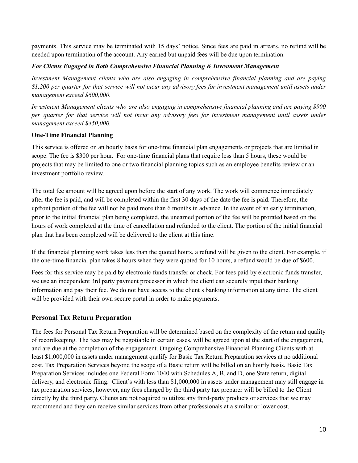payments. This service may be terminated with 15 days' notice. Since fees are paid in arrears, no refund will be needed upon termination of the account. Any earned but unpaid fees will be due upon termination.

#### *For Clients Engaged in Both Comprehensive Financial Planning & Investment Management*

*Investment Management clients who are also engaging in comprehensive financial planning and are paying* \$1,200 per quarter for that service will not incur any advisory fees for investment management until assets under *management exceed \$600,000.*

*Investment Management clients who are also engaging in comprehensive financial planning and are paying \$900* per quarter for that service will not incur any advisory fees for investment management until assets under *management exceed \$450,000.*

#### **One-Time Financial Planning**

This service is offered on an hourly basis for one-time financial plan engagements or projects that are limited in scope. The fee is \$300 per hour. For one-time financial plans that require less than 5 hours, these would be projects that may be limited to one or two financial planning topics such as an employee benefits review or an investment portfolio review.

The total fee amount will be agreed upon before the start of any work. The work will commence immediately after the fee is paid, and will be completed within the first 30 days of the date the fee is paid. Therefore, the upfront portion of the fee will not be paid more than 6 months in advance. In the event of an early termination, prior to the initial financial plan being completed, the unearned portion of the fee will be prorated based on the hours of work completed at the time of cancellation and refunded to the client. The portion of the initial financial plan that has been completed will be delivered to the client at this time.

If the financial planning work takes less than the quoted hours, a refund will be given to the client. For example, if the one-time financial plan takes 8 hours when they were quoted for 10 hours, a refund would be due of \$600.

Fees for this service may be paid by electronic funds transfer or check. For fees paid by electronic funds transfer, we use an independent 3rd party payment processor in which the client can securely input their banking information and pay their fee. We do not have access to the client's banking information at any time. The client will be provided with their own secure portal in order to make payments.

### **Personal Tax Return Preparation**

The fees for Personal Tax Return Preparation will be determined based on the complexity of the return and quality of recordkeeping. The fees may be negotiable in certain cases, will be agreed upon at the start of the engagement, and are due at the completion of the engagement. Ongoing Comprehensive Financial Planning Clients with at least \$1,000,000 in assets under management qualify for Basic Tax Return Preparation services at no additional cost. Tax Preparation Services beyond the scope of a Basic return will be billed on an hourly basis. Basic Tax Preparation Services includes one Federal Form 1040 with Schedules A, B, and D, one State return, digital delivery, and electronic filing. Client's with less than \$1,000,000 in assets under management may still engage in tax preparation services, however, any fees charged by the third party tax preparer will be billed to the Client directly by the third party. Clients are not required to utilize any third-party products or services that we may recommend and they can receive similar services from other professionals at a similar or lower cost.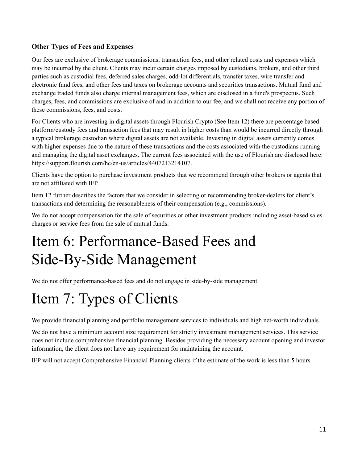### **Other Types of Fees and Expenses**

Our fees are exclusive of brokerage commissions, transaction fees, and other related costs and expenses which may be incurred by the client. Clients may incur certain charges imposed by custodians, brokers, and other third parties such as custodial fees, deferred sales charges, odd-lot differentials, transfer taxes, wire transfer and electronic fund fees, and other fees and taxes on brokerage accounts and securities transactions. Mutual fund and exchange traded funds also charge internal management fees, which are disclosed in a fund's prospectus. Such charges, fees, and commissions are exclusive of and in addition to our fee, and we shall not receive any portion of these commissions, fees, and costs.

For Clients who are investing in digital assets through Flourish Crypto (See Item 12) there are percentage based platform/custody fees and transaction fees that may result in higher costs than would be incurred directly through a typical brokerage custodian where digital assets are not available. Investing in digital assets currently comes with higher expenses due to the nature of these transactions and the costs associated with the custodians running and managing the digital asset exchanges. The current fees associated with the use of Flourish are disclosed here: https://support.flourish.com/hc/en-us/articles/4407213214107.

Clients have the option to purchase investment products that we recommend through other brokers or agents that are not affiliated with IFP.

Item 12 further describes the factors that we consider in selecting or recommending broker-dealers for client's transactions and determining the reasonableness of their compensation (e.g., commissions).

We do not accept compensation for the sale of securities or other investment products including asset-based sales charges or service fees from the sale of mutual funds.

## <span id="page-10-0"></span>Item 6: Performance-Based Fees and Side-By-Side Management

We do not offer performance-based fees and do not engage in side-by-side management.

## <span id="page-10-1"></span>Item 7: Types of Clients

We provide financial planning and portfolio management services to individuals and high net-worth individuals.

We do not have a minimum account size requirement for strictly investment management services. This service does not include comprehensive financial planning. Besides providing the necessary account opening and investor information, the client does not have any requirement for maintaining the account.

IFP will not accept Comprehensive Financial Planning clients if the estimate of the work is less than 5 hours.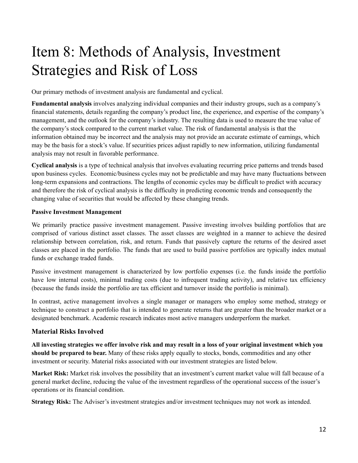# <span id="page-11-0"></span>Item 8: Methods of Analysis, Investment Strategies and Risk of Loss

Our primary methods of investment analysis are fundamental and cyclical.

**Fundamental analysis** involves analyzing individual companies and their industry groups, such as a company's financial statements, details regarding the company's product line, the experience, and expertise of the company's management, and the outlook for the company's industry. The resulting data is used to measure the true value of the company's stock compared to the current market value. The risk of fundamental analysis is that the information obtained may be incorrect and the analysis may not provide an accurate estimate of earnings, which may be the basis for a stock's value. If securities prices adjust rapidly to new information, utilizing fundamental analysis may not result in favorable performance.

**Cyclical analysis** is a type of technical analysis that involves evaluating recurring price patterns and trends based upon business cycles. Economic/business cycles may not be predictable and may have many fluctuations between long-term expansions and contractions. The lengths of economic cycles may be difficult to predict with accuracy and therefore the risk of cyclical analysis is the difficulty in predicting economic trends and consequently the changing value of securities that would be affected by these changing trends.

#### **Passive Investment Management**

We primarily practice passive investment management. Passive investing involves building portfolios that are comprised of various distinct asset classes. The asset classes are weighted in a manner to achieve the desired relationship between correlation, risk, and return. Funds that passively capture the returns of the desired asset classes are placed in the portfolio. The funds that are used to build passive portfolios are typically index mutual funds or exchange traded funds.

Passive investment management is characterized by low portfolio expenses (i.e. the funds inside the portfolio have low internal costs), minimal trading costs (due to infrequent trading activity), and relative tax efficiency (because the funds inside the portfolio are tax efficient and turnover inside the portfolio is minimal).

In contrast, active management involves a single manager or managers who employ some method, strategy or technique to construct a portfolio that is intended to generate returns that are greater than the broader market or a designated benchmark. Academic research indicates most active managers underperform the market.

### **Material Risks Involved**

All investing strategies we offer involve risk and may result in a loss of your original investment which you **should be prepared to bear.** Many of these risks apply equally to stocks, bonds, commodities and any other investment or security. Material risks associated with our investment strategies are listed below.

**Market Risk:** Market risk involves the possibility that an investment's current market value will fall because of a general market decline, reducing the value of the investment regardless of the operational success of the issuer's operations or its financial condition.

**Strategy Risk:** The Adviser's investment strategies and/or investment techniques may not work as intended.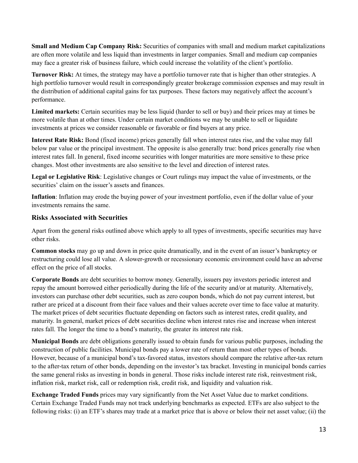**Small and Medium Cap Company Risk:** Securities of companies with small and medium market capitalizations are often more volatile and less liquid than investments in larger companies. Small and medium cap companies may face a greater risk of business failure, which could increase the volatility of the client's portfolio.

**Turnover Risk:** At times, the strategy may have a portfolio turnover rate that is higher than other strategies. A high portfolio turnover would result in correspondingly greater brokerage commission expenses and may result in the distribution of additional capital gains for tax purposes. These factors may negatively affect the account's performance.

**Limited markets:** Certain securities may be less liquid (harder to sell or buy) and their prices may at times be more volatile than at other times. Under certain market conditions we may be unable to sell or liquidate investments at prices we consider reasonable or favorable or find buyers at any price.

**Interest Rate Risk:** Bond (fixed income) prices generally fall when interest rates rise, and the value may fall below par value or the principal investment. The opposite is also generally true: bond prices generally rise when interest rates fall. In general, fixed income securities with longer maturities are more sensitive to these price changes. Most other investments are also sensitive to the level and direction of interest rates.

**Legal or Legislative Risk**: Legislative changes or Court rulings may impact the value of investments, or the securities' claim on the issuer's assets and finances.

**Inflation**: Inflation may erode the buying power of your investment portfolio, even if the dollar value of your investments remains the same.

#### **Risks Associated with Securities**

Apart from the general risks outlined above which apply to all types of investments, specific securities may have other risks.

**Common stocks** may go up and down in price quite dramatically, and in the event of an issuer's bankruptcy or restructuring could lose all value. A slower-growth or recessionary economic environment could have an adverse effect on the price of all stocks.

**Corporate Bonds** are debt securities to borrow money. Generally, issuers pay investors periodic interest and repay the amount borrowed either periodically during the life of the security and/or at maturity. Alternatively, investors can purchase other debt securities, such as zero coupon bonds, which do not pay current interest, but rather are priced at a discount from their face values and their values accrete over time to face value at maturity. The market prices of debt securities fluctuate depending on factors such as interest rates, credit quality, and maturity. In general, market prices of debt securities decline when interest rates rise and increase when interest rates fall. The longer the time to a bond's maturity, the greater its interest rate risk.

**Municipal Bonds** are debt obligations generally issued to obtain funds for various public purposes, including the construction of public facilities. Municipal bonds pay a lower rate of return than most other types of bonds. However, because of a municipal bond's tax-favored status, investors should compare the relative after-tax return to the after-tax return of other bonds, depending on the investor's tax bracket. Investing in municipal bonds carries the same general risks as investing in bonds in general. Those risks include interest rate risk, reinvestment risk, inflation risk, market risk, call or redemption risk, credit risk, and liquidity and valuation risk.

**Exchange Traded Funds** prices may vary significantly from the Net Asset Value due to market conditions. Certain Exchange Traded Funds may not track underlying benchmarks as expected. ETFs are also subject to the following risks: (i) an ETF's shares may trade at a market price that is above or below their net asset value; (ii) the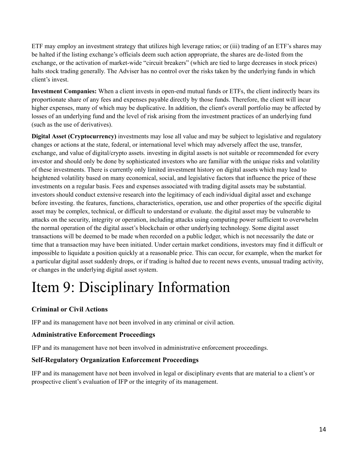ETF may employ an investment strategy that utilizes high leverage ratios; or (iii) trading of an ETF's shares may be halted if the listing exchange's officials deem such action appropriate, the shares are de-listed from the exchange, or the activation of market-wide "circuit breakers" (which are tied to large decreases in stock prices) halts stock trading generally. The Adviser has no control over the risks taken by the underlying funds in which client's invest.

**Investment Companies:** When a client invests in open-end mutual funds or ETFs, the client indirectly bears its proportionate share of any fees and expenses payable directly by those funds. Therefore, the client will incur higher expenses, many of which may be duplicative. In addition, the client's overall portfolio may be affected by losses of an underlying fund and the level of risk arising from the investment practices of an underlying fund (such as the use of derivatives).

**Digital Asset (Cryptocurrency)** investments may lose all value and may be subject to legislative and regulatory changes or actions at the state, federal, or international level which may adversely affect the use, transfer, exchange, and value of digital/crypto assets. investing in digital assets is not suitable or recommended for every investor and should only be done by sophisticated investors who are familiar with the unique risks and volatility of these investments. There is currently only limited investment history on digital assets which may lead to heightened volatility based on many economical, social, and legislative factors that influence the price of these investments on a regular basis. Fees and expenses associated with trading digital assets may be substantial. investors should conduct extensive research into the legitimacy of each individual digital asset and exchange before investing. the features, functions, characteristics, operation, use and other properties of the specific digital asset may be complex, technical, or difficult to understand or evaluate. the digital asset may be vulnerable to attacks on the security, integrity or operation, including attacks using computing power sufficient to overwhelm the normal operation of the digital asset's blockchain or other underlying technology. Some digital asset transactions will be deemed to be made when recorded on a public ledger, which is not necessarily the date or time that a transaction may have been initiated. Under certain market conditions, investors may find it difficult or impossible to liquidate a position quickly at a reasonable price. This can occur, for example, when the market for a particular digital asset suddenly drops, or if trading is halted due to recent news events, unusual trading activity, or changes in the underlying digital asset system.

# <span id="page-13-0"></span>Item 9: Disciplinary Information

### **Criminal or Civil Actions**

IFP and its management have not been involved in any criminal or civil action.

### **Administrative Enforcement Proceedings**

IFP and its management have not been involved in administrative enforcement proceedings.

### **Self-Regulatory Organization Enforcement Proceedings**

IFP and its management have not been involved in legal or disciplinary events that are material to a client's or prospective client's evaluation of IFP or the integrity of its management.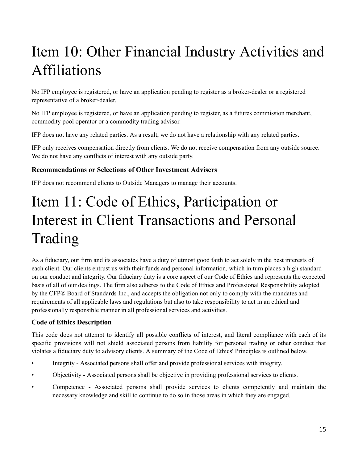# <span id="page-14-0"></span>Item 10: Other Financial Industry Activities and Affiliations

No IFP employee is registered, or have an application pending to register as a broker-dealer or a registered representative of a broker-dealer.

No IFP employee is registered, or have an application pending to register, as a futures commission merchant, commodity pool operator or a commodity trading advisor.

IFP does not have any related parties. As a result, we do not have a relationship with any related parties.

IFP only receives compensation directly from clients. We do not receive compensation from any outside source. We do not have any conflicts of interest with any outside party.

### **Recommendations or Selections of Other Investment Advisers**

IFP does not recommend clients to Outside Managers to manage their accounts.

# <span id="page-14-1"></span>Item 11: Code of Ethics, Participation or Interest in Client Transactions and Personal Trading

As a fiduciary, our firm and its associates have a duty of utmost good faith to act solely in the best interests of each client. Our clients entrust us with their funds and personal information, which in turn places a high standard on our conduct and integrity. Our fiduciary duty is a core aspect of our Code of Ethics and represents the expected basis of all of our dealings. The firm also adheres to the Code of Ethics and Professional Responsibility adopted by the CFP® Board of Standards Inc., and accepts the obligation not only to comply with the mandates and requirements of all applicable laws and regulations but also to take responsibility to act in an ethical and professionally responsible manner in all professional services and activities.

### **Code of Ethics Description**

This code does not attempt to identify all possible conflicts of interest, and literal compliance with each of its specific provisions will not shield associated persons from liability for personal trading or other conduct that violates a fiduciary duty to advisory clients. A summary of the Code of Ethics' Principles is outlined below.

- Integrity Associated persons shall offer and provide professional services with integrity.
- Objectivity Associated persons shall be objective in providing professional services to clients.
- Competence Associated persons shall provide services to clients competently and maintain the necessary knowledge and skill to continue to do so in those areas in which they are engaged.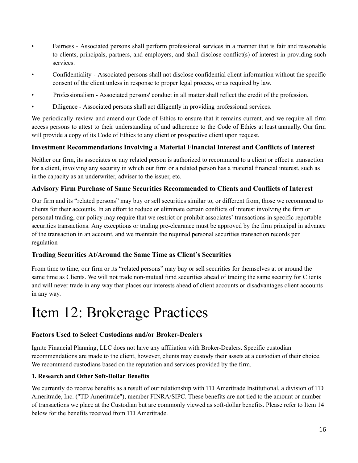- Fairness Associated persons shall perform professional services in a manner that is fair and reasonable to clients, principals, partners, and employers, and shall disclose conflict(s) of interest in providing such services.
- Confidentiality Associated persons shall not disclose confidential client information without the specific consent of the client unless in response to proper legal process, or as required by law.
- Professionalism Associated persons' conduct in all matter shall reflect the credit of the profession.
- Diligence Associated persons shall act diligently in providing professional services.

We periodically review and amend our Code of Ethics to ensure that it remains current, and we require all firm access persons to attest to their understanding of and adherence to the Code of Ethics at least annually. Our firm will provide a copy of its Code of Ethics to any client or prospective client upon request.

### **Investment Recommendations Involving a Material Financial Interest and Conflicts of Interest**

Neither our firm, its associates or any related person is authorized to recommend to a client or effect a transaction for a client, involving any security in which our firm or a related person has a material financial interest, such as in the capacity as an underwriter, adviser to the issuer, etc.

### **Advisory Firm Purchase of Same Securities Recommended to Clients and Conflicts of Interest**

Our firm and its "related persons" may buy or sell securities similar to, or different from, those we recommend to clients for their accounts. In an effort to reduce or eliminate certain conflicts of interest involving the firm or personal trading, our policy may require that we restrict or prohibit associates' transactions in specific reportable securities transactions. Any exceptions or trading pre-clearance must be approved by the firm principal in advance of the transaction in an account, and we maintain the required personal securities transaction records per regulation

#### **Trading Securities At/Around the Same Time as Client's Securities**

From time to time, our firm or its "related persons" may buy or sell securities for themselves at or around the same time as Clients. We will not trade non-mutual fund securities ahead of trading the same security for Clients and will never trade in any way that places our interests ahead of client accounts or disadvantages client accounts in any way.

## <span id="page-15-0"></span>Item 12: Brokerage Practices

### **Factors Used to Select Custodians and/or Broker-Dealers**

Ignite Financial Planning, LLC does not have any affiliation with Broker-Dealers. Specific custodian recommendations are made to the client, however, clients may custody their assets at a custodian of their choice. We recommend custodians based on the reputation and services provided by the firm.

#### **1. Research and Other Soft-Dollar Benefits**

We currently do receive benefits as a result of our relationship with TD Ameritrade Institutional, a division of TD Ameritrade, Inc. ("TD Ameritrade"), member FINRA/SIPC. These benefits are not tied to the amount or number of transactions we place at the Custodian but are commonly viewed as soft-dollar benefits. Please refer to Item 14 below for the benefits received from TD Ameritrade.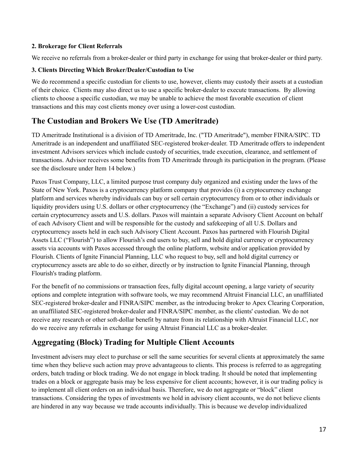#### **2. Brokerage for Client Referrals**

We receive no referrals from a broker-dealer or third party in exchange for using that broker-dealer or third party.

#### **3. Clients Directing Which Broker/Dealer/Custodian to Use**

We do recommend a specific custodian for clients to use, however, clients may custody their assets at a custodian of their choice. Clients may also direct us to use a specific broker-dealer to execute transactions. By allowing clients to choose a specific custodian, we may be unable to achieve the most favorable execution of client transactions and this may cost clients money over using a lower-cost custodian.

## **The Custodian and Brokers We Use (TD Ameritrade)**

TD Ameritrade Institutional is a division of TD Ameritrade, Inc. ("TD Ameritrade"), member FINRA/SIPC. TD Ameritrade is an independent and unaffiliated SEC-registered broker-dealer. TD Ameritrade offers to independent investment Advisors services which include custody of securities, trade execution, clearance, and settlement of transactions. Advisor receives some benefits from TD Ameritrade through its participation in the program. (Please see the disclosure under Item 14 below.)

Paxos Trust Company, LLC, a limited purpose trust company duly organized and existing under the laws of the State of New York. Paxos is a cryptocurrency platform company that provides (i) a cryptocurrency exchange platform and services whereby individuals can buy or sell certain cryptocurrency from or to other individuals or liquidity providers using U.S. dollars or other cryptocurrency (the "Exchange") and (ii) custody services for certain cryptocurrency assets and U.S. dollars. Paxos will maintain a separate Advisory Client Account on behalf of each Advisory Client and will be responsible for the custody and safekeeping of all U.S. Dollars and cryptocurrency assets held in each such Advisory Client Account. Paxos has partnered with Flourish Digital Assets LLC ("Flourish") to allow Flourish's end users to buy, sell and hold digital currency or cryptocurrency assets via accounts with Paxos accessed through the online platform, website and/or application provided by Flourish. Clients of Ignite Financial Planning, LLC who request to buy, sell and hold digital currency or cryptocurrency assets are able to do so either, directly or by instruction to Ignite Financial Planning, through Flourish's trading platform.

For the benefit of no commissions or transaction fees, fully digital account opening, a large variety of security options and complete integration with software tools, we may recommend Altruist Financial LLC, an unaffiliated SEC-registered broker-dealer and FINRA/SIPC member, as the introducing broker to Apex Clearing Corporation, an unaffiliated SEC-registered broker-dealer and FINRA/SIPC member, as the clients' custodian. We do not receive any research or other soft-dollar benefit by nature from its relationship with Altruist Financial LLC, nor do we receive any referrals in exchange for using Altruist Financial LLC as a broker-dealer.

## **Aggregating (Block) Trading for Multiple Client Accounts**

Investment advisers may elect to purchase or sell the same securities for several clients at approximately the same time when they believe such action may prove advantageous to clients. This process is referred to as aggregating orders, batch trading or block trading. We do not engage in block trading. It should be noted that implementing trades on a block or aggregate basis may be less expensive for client accounts; however, it is our trading policy is to implement all client orders on an individual basis. Therefore, we do not aggregate or "block" client transactions. Considering the types of investments we hold in advisory client accounts, we do not believe clients are hindered in any way because we trade accounts individually. This is because we develop individualized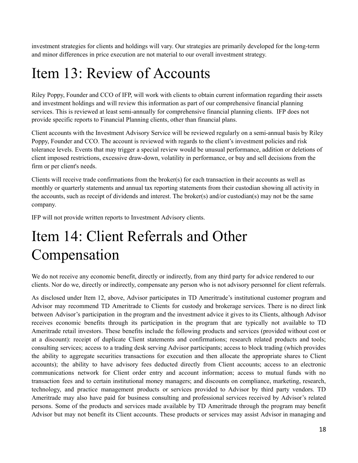investment strategies for clients and holdings will vary. Our strategies are primarily developed for the long-term and minor differences in price execution are not material to our overall investment strategy.

## <span id="page-17-0"></span>Item 13: Review of Accounts

Riley Poppy, Founder and CCO of IFP, will work with clients to obtain current information regarding their assets and investment holdings and will review this information as part of our comprehensive financial planning services. This is reviewed at least semi-annually for comprehensive financial planning clients. IFP does not provide specific reports to Financial Planning clients, other than financial plans.

Client accounts with the Investment Advisory Service will be reviewed regularly on a semi-annual basis by Riley Poppy, Founder and CCO. The account is reviewed with regards to the client's investment policies and risk tolerance levels. Events that may trigger a special review would be unusual performance, addition or deletions of client imposed restrictions, excessive draw-down, volatility in performance, or buy and sell decisions from the firm or per client's needs.

Clients will receive trade confirmations from the broker(s) for each transaction in their accounts as well as monthly or quarterly statements and annual tax reporting statements from their custodian showing all activity in the accounts, such as receipt of dividends and interest. The broker(s) and/or custodian(s) may not be the same company.

IFP will not provide written reports to Investment Advisory clients.

## <span id="page-17-1"></span>Item 14: Client Referrals and Other Compensation

We do not receive any economic benefit, directly or indirectly, from any third party for advice rendered to our clients. Nor do we, directly or indirectly, compensate any person who is not advisory personnel for client referrals.

As disclosed under Item 12, above, Advisor participates in TD Ameritrade's institutional customer program and Advisor may recommend TD Ameritrade to Clients for custody and brokerage services. There is no direct link between Advisor's participation in the program and the investment advice it gives to its Clients, although Advisor receives economic benefits through its participation in the program that are typically not available to TD Ameritrade retail investors. These benefits include the following products and services (provided without cost or at a discount): receipt of duplicate Client statements and confirmations; research related products and tools; consulting services; access to a trading desk serving Advisor participants; access to block trading (which provides the ability to aggregate securities transactions for execution and then allocate the appropriate shares to Client accounts); the ability to have advisory fees deducted directly from Client accounts; access to an electronic communications network for Client order entry and account information; access to mutual funds with no transaction fees and to certain institutional money managers; and discounts on compliance, marketing, research, technology, and practice management products or services provided to Advisor by third party vendors. TD Ameritrade may also have paid for business consulting and professional services received by Advisor's related persons. Some of the products and services made available by TD Ameritrade through the program may benefit Advisor but may not benefit its Client accounts. These products or services may assist Advisor in managing and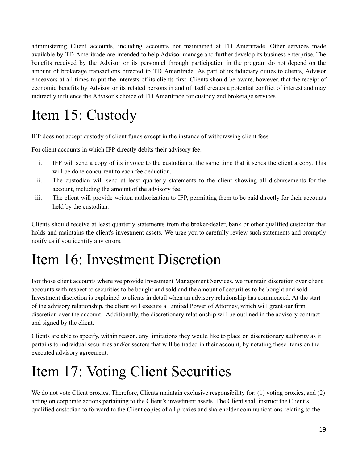administering Client accounts, including accounts not maintained at TD Ameritrade. Other services made available by TD Ameritrade are intended to help Advisor manage and further develop its business enterprise. The benefits received by the Advisor or its personnel through participation in the program do not depend on the amount of brokerage transactions directed to TD Ameritrade. As part of its fiduciary duties to clients, Advisor endeavors at all times to put the interests of its clients first. Clients should be aware, however, that the receipt of economic benefits by Advisor or its related persons in and of itself creates a potential conflict of interest and may indirectly influence the Advisor's choice of TD Ameritrade for custody and brokerage services.

# <span id="page-18-0"></span>Item 15: Custody

IFP does not accept custody of client funds except in the instance of withdrawing client fees.

For client accounts in which IFP directly debits their advisory fee:

- i. IFP will send a copy of its invoice to the custodian at the same time that it sends the client a copy. This will be done concurrent to each fee deduction.
- ii. The custodian will send at least quarterly statements to the client showing all disbursements for the account, including the amount of the advisory fee.
- iii. The client will provide written authorization to IFP, permitting them to be paid directly for their accounts held by the custodian.

Clients should receive at least quarterly statements from the broker-dealer, bank or other qualified custodian that holds and maintains the client's investment assets. We urge you to carefully review such statements and promptly notify us if you identify any errors.

## <span id="page-18-1"></span>Item 16: Investment Discretion

For those client accounts where we provide Investment Management Services, we maintain discretion over client accounts with respect to securities to be bought and sold and the amount of securities to be bought and sold. Investment discretion is explained to clients in detail when an advisory relationship has commenced. At the start of the advisory relationship, the client will execute a Limited Power of Attorney, which will grant our firm discretion over the account. Additionally, the discretionary relationship will be outlined in the advisory contract and signed by the client.

Clients are able to specify, within reason, any limitations they would like to place on discretionary authority as it pertains to individual securities and/or sectors that will be traded in their account, by notating these items on the executed advisory agreement.

## <span id="page-18-2"></span>Item 17: Voting Client Securities

We do not vote Client proxies. Therefore, Clients maintain exclusive responsibility for: (1) voting proxies, and (2) acting on corporate actions pertaining to the Client's investment assets. The Client shall instruct the Client's qualified custodian to forward to the Client copies of all proxies and shareholder communications relating to the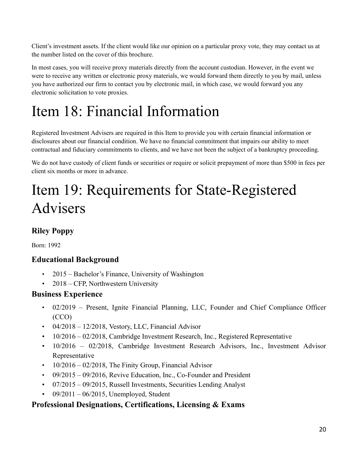Client's investment assets. If the client would like our opinion on a particular proxy vote, they may contact us at the number listed on the cover of this brochure.

In most cases, you will receive proxy materials directly from the account custodian. However, in the event we were to receive any written or electronic proxy materials, we would forward them directly to you by mail, unless you have authorized our firm to contact you by electronic mail, in which case, we would forward you any electronic solicitation to vote proxies.

# <span id="page-19-0"></span>Item 18: Financial Information

Registered Investment Advisers are required in this Item to provide you with certain financial information or disclosures about our financial condition. We have no financial commitment that impairs our ability to meet contractual and fiduciary commitments to clients, and we have not been the subject of a bankruptcy proceeding.

We do not have custody of client funds or securities or require or solicit prepayment of more than \$500 in fees per client six months or more in advance.

# <span id="page-19-1"></span>Item 19: Requirements for State-Registered Advisers

## **Riley Poppy**

Born: 1992

## **Educational Background**

- 2015 Bachelor's Finance, University of Washington
- 2018 CFP, Northwestern University

## **Business Experience**

- 02/2019 Present, Ignite Financial Planning, LLC, Founder and Chief Compliance Officer (CCO)
- $04/2018 12/2018$ , Vestory, LLC, Financial Advisor
- 10/2016 02/2018, Cambridge Investment Research, Inc., Registered Representative
- 10/2016 02/2018, Cambridge Investment Research Advisors, Inc., Investment Advisor Representative
- $10/2016 02/2018$ , The Finity Group, Financial Advisor
- $\cdot$  09/2015 09/2016, Revive Education, Inc., Co-Founder and President
- $\cdot$  07/2015 09/2015, Russell Investments, Securities Lending Analyst
- 09/2011 06/2015, Unemployed, Student

## **Professional Designations, Certifications, Licensing & Exams**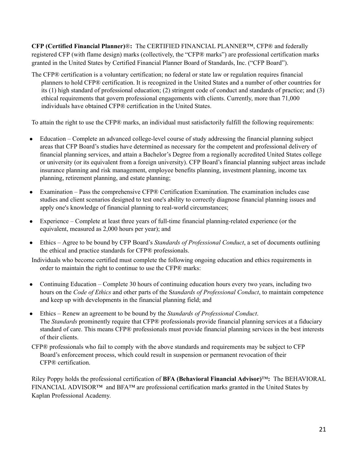**CFP (Certified Financial Planner)**®**:** The CERTIFIED FINANCIAL PLANNER™, CFP® and federally registered CFP (with flame design) marks (collectively, the "CFP® marks") are professional certification marks granted in the United States by Certified Financial Planner Board of Standards, Inc. ("CFP Board").

The CFP® certification is a voluntary certification; no federal or state law or regulation requires financial planners to hold CFP® certification. It is recognized in the United States and a number of other countries for its (1) high standard of professional education; (2) stringent code of conduct and standards of practice; and (3) ethical requirements that govern professional engagements with clients. Currently, more than 71,000 individuals have obtained CFP® certification in the United States.

To attain the right to use the CFP® marks, an individual must satisfactorily fulfill the following requirements:

- Education Complete an advanced college-level course of study addressing the financial planning subject areas that CFP Board's studies have determined as necessary for the competent and professional delivery of financial planning services, and attain a Bachelor's Degree from a regionally accredited United States college or university (or its equivalent from a foreign university). CFP Board's financial planning subject areas include insurance planning and risk management, employee benefits planning, investment planning, income tax planning, retirement planning, and estate planning;
- Examination Pass the comprehensive CFP® Certification Examination. The examination includes case studies and client scenarios designed to test one's ability to correctly diagnose financial planning issues and apply one's knowledge of financial planning to real-world circumstances;
- Experience Complete at least three years of full-time financial planning-related experience (or the equivalent, measured as 2,000 hours per year); and
- Ethics Agree to be bound by CFP Board's *Standards of Professional Conduct*, a set of documents outlining the ethical and practice standards for CFP® professionals.

Individuals who become certified must complete the following ongoing education and ethics requirements in order to maintain the right to continue to use the CFP® marks:

- Continuing Education Complete 30 hours of continuing education hours every two years, including two hours on the *Code of Ethics* and other parts of the S*tandards of Professional Conduct*, to maintain competence and keep up with developments in the financial planning field; and
- Ethics Renew an agreement to be bound by the *Standards of Professional Conduct*. The *Standards* prominently require that CFP® professionals provide financial planning services at a fiduciary standard of care. This means CFP® professionals must provide financial planning services in the best interests of their clients.
- CFP® professionals who fail to comply with the above standards and requirements may be subject to CFP Board's enforcement process, which could result in suspension or permanent revocation of their CFP® certification.

Riley Poppy holds the professional certification of **BFA (Behavioral Financial Advisor)**™**:** The BEHAVIORAL FINANCIAL ADVISOR™ and BFA™ are professional certification marks granted in the United States by Kaplan Professional Academy.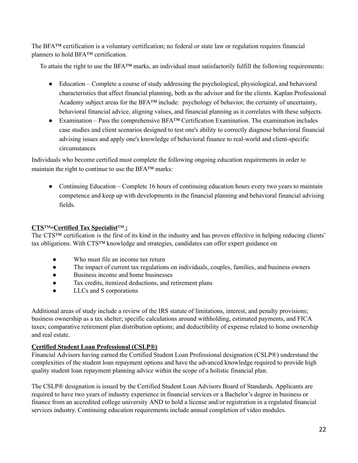The BFA™ certification is a voluntary certification; no federal or state law or regulation requires financial planners to hold BFA™ certification.

To attain the right to use the BFA™ marks, an individual must satisfactorily fulfill the following requirements:

- Education Complete a course of study addressing the psychological, physiological, and behavioral characteristics that affect financial planning, both as the advisor and for the clients. Kaplan Professional Academy subject areas for the BFA™ include: psychology of behavior, the certainty of uncertainty, behavioral financial advice, aligning values, and financial planning as it correlates with these subjects.
- Examination Pass the comprehensive BFA™ Certification Examination. The examination includes case studies and client scenarios designed to test one's ability to correctly diagnose behavioral financial advising issues and apply one's knowledge of behavioral finance to real-world and client-specific circumstances

Individuals who become certified must complete the following ongoing education requirements in order to maintain the right to continue to use the BFA™ marks:

• Continuing Education – Complete 16 hours of continuing education hours every two years to maintain competence and keep up with developments in the financial planning and behavioral financial advising fields.

#### **CTS**™*-* **Certified Tax Specialist**™ **:**

The CTS™ certification is the first of its kind in the industry and has proven effective in helping reducing clients' tax obligations. With CTS™ knowledge and strategies, candidates can offer expert guidance on

- Who must file an income tax return
- The impact of current tax regulations on individuals, couples, families, and business owners
- Business income and home businesses
- Tax credits, itemized deductions, and retirement plans
- LLCs and S corporations

Additional areas of study include a review of the IRS statute of limitations, interest, and penalty provisions; business ownership as a tax shelter; specific calculations around withholding, estimated payments, and FICA taxes; comparative retirement plan distribution options; and deductibility of expense related to home ownership and real estate.

### **Certified Student Loan Professional (CSLP®)**

Financial Advisors having earned the Certified Student Loan Professional designation (CSLP®) understand the complexities of the student loan repayment options and have the advanced knowledge required to provide high quality student loan repayment planning advice within the scope of a holistic financial plan.

The CSLP® designation is issued by the Certified Student Loan Advisors Board of Standards. Applicants are required to have two years of industry experience in financial services or a Bachelor's degree in business or finance from an accredited college university AND to hold a license and/or registration in a regulated financial services industry. Continuing education requirements include annual completion of video modules.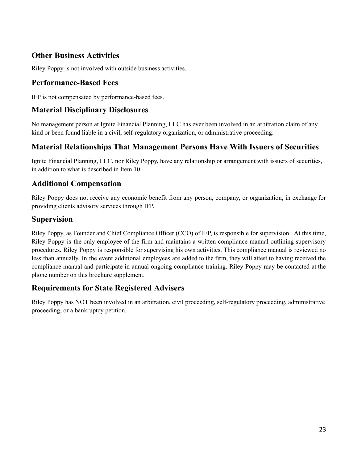## **Other Business Activities**

Riley Poppy is not involved with outside business activities.

### **Performance-Based Fees**

IFP is not compensated by performance-based fees.

## **Material Disciplinary Disclosures**

No management person at Ignite Financial Planning, LLC has ever been involved in an arbitration claim of any kind or been found liable in a civil, self-regulatory organization, or administrative proceeding.

## **Material Relationships That Management Persons Have With Issuers of Securities**

Ignite Financial Planning, LLC, nor Riley Poppy, have any relationship or arrangement with issuers of securities, in addition to what is described in Item 10.

### **Additional Compensation**

Riley Poppy does not receive any economic benefit from any person, company, or organization, in exchange for providing clients advisory services through IFP.

### **Supervision**

Riley Poppy, as Founder and Chief Compliance Officer (CCO) of IFP, is responsible for supervision. At this time, Riley Poppy is the only employee of the firm and maintains a written compliance manual outlining supervisory procedures. Riley Poppy is responsible for supervising his own activities. This compliance manual is reviewed no less than annually. In the event additional employees are added to the firm, they will attest to having received the compliance manual and participate in annual ongoing compliance training. Riley Poppy may be contacted at the phone number on this brochure supplement.

### **Requirements for State Registered Advisers**

Riley Poppy has NOT been involved in an arbitration, civil proceeding, self-regulatory proceeding, administrative proceeding, or a bankruptcy petition.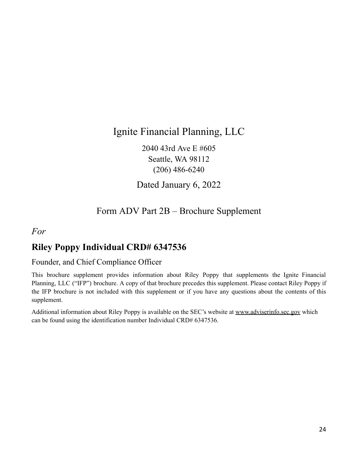## Ignite Financial Planning, LLC

2040 43rd Ave E #605 Seattle, WA 98112 (206) 486-6240

Dated January 6, 2022

## Form ADV Part 2B – Brochure Supplement

## <span id="page-23-0"></span>*For*

## **Riley Poppy Individual CRD# 6347536**

### Founder, and Chief Compliance Officer

This brochure supplement provides information about Riley Poppy that supplements the Ignite Financial Planning, LLC ("IFP") brochure. A copy of that brochure precedes this supplement. Please contact Riley Poppy if the IFP brochure is not included with this supplement or if you have any questions about the contents of this supplement.

Additional information about Riley Poppy is available on the SEC's website at [www.adviserinfo.sec.gov](http://www.adviserinfo.sec.gov/) which can be found using the identification number Individual CRD# 6347536.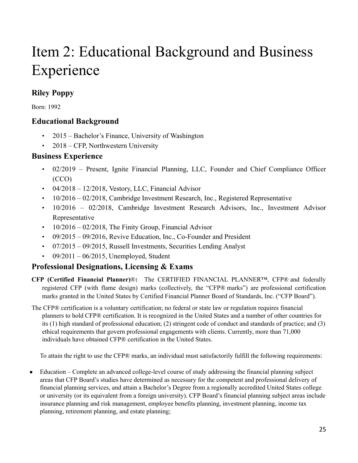# Item 2: Educational Background and Business Experience

## **Riley Poppy**

Born: 1992

## **Educational Background**

- 2015 Bachelor's Finance, University of Washington
- 2018 CFP, Northwestern University

## **Business Experience**

- 02/2019 Present, Ignite Financial Planning, LLC, Founder and Chief Compliance Officer (CCO)
- $\cdot$  04/2018 12/2018, Vestory, LLC, Financial Advisor
- $10/2016 02/2018$ , Cambridge Investment Research, Inc., Registered Representative
- 10/2016 02/2018, Cambridge Investment Research Advisors, Inc., Investment Advisor Representative
- $10/2016 02/2018$ , The Finity Group, Financial Advisor
- $\cdot$  09/2015 09/2016, Revive Education, Inc., Co-Founder and President
- $\cdot$  07/2015 09/2015, Russell Investments, Securities Lending Analyst
- $09/2011 06/2015$ , Unemployed, Student

## **Professional Designations, Licensing & Exams**

- **CFP (Certified Financial Planner)**®**:** The CERTIFIED FINANCIAL PLANNER™, CFP® and federally registered CFP (with flame design) marks (collectively, the "CFP® marks") are professional certification marks granted in the United States by Certified Financial Planner Board of Standards, Inc. ("CFP Board").
- The CFP® certification is a voluntary certification; no federal or state law or regulation requires financial planners to hold CFP® certification. It is recognized in the United States and a number of other countries for its (1) high standard of professional education; (2) stringent code of conduct and standards of practice; and (3) ethical requirements that govern professional engagements with clients. Currently, more than 71,000 individuals have obtained CFP® certification in the United States.

To attain the right to use the CFP® marks, an individual must satisfactorily fulfill the following requirements:

• Education – Complete an advanced college-level course of study addressing the financial planning subject areas that CFP Board's studies have determined as necessary for the competent and professional delivery of financial planning services, and attain a Bachelor's Degree from a regionally accredited United States college or university (or its equivalent from a foreign university). CFP Board's financial planning subject areas include insurance planning and risk management, employee benefits planning, investment planning, income tax planning, retirement planning, and estate planning;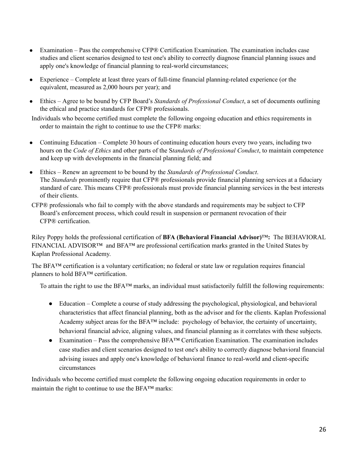- Examination Pass the comprehensive CFP® Certification Examination. The examination includes case studies and client scenarios designed to test one's ability to correctly diagnose financial planning issues and apply one's knowledge of financial planning to real-world circumstances;
- Experience Complete at least three years of full-time financial planning-related experience (or the equivalent, measured as 2,000 hours per year); and
- Ethics Agree to be bound by CFP Board's *Standards of Professional Conduct*, a set of documents outlining the ethical and practice standards for CFP® professionals.

Individuals who become certified must complete the following ongoing education and ethics requirements in order to maintain the right to continue to use the CFP® marks:

- Continuing Education Complete 30 hours of continuing education hours every two years, including two hours on the *Code of Ethics* and other parts of the S*tandards of Professional Conduct*, to maintain competence and keep up with developments in the financial planning field; and
- Ethics Renew an agreement to be bound by the *Standards of Professional Conduct*. The *Standards* prominently require that CFP® professionals provide financial planning services at a fiduciary standard of care. This means CFP® professionals must provide financial planning services in the best interests of their clients.
- CFP® professionals who fail to comply with the above standards and requirements may be subject to CFP Board's enforcement process, which could result in suspension or permanent revocation of their CFP® certification.

Riley Poppy holds the professional certification of **BFA (Behavioral Financial Advisor)**™**:** The BEHAVIORAL FINANCIAL ADVISOR™ and BFA™ are professional certification marks granted in the United States by Kaplan Professional Academy.

The BFA™ certification is a voluntary certification; no federal or state law or regulation requires financial planners to hold BFA™ certification.

To attain the right to use the BFA™ marks, an individual must satisfactorily fulfill the following requirements:

- Education Complete a course of study addressing the psychological, physiological, and behavioral characteristics that affect financial planning, both as the advisor and for the clients. Kaplan Professional Academy subject areas for the BFA™ include: psychology of behavior, the certainty of uncertainty, behavioral financial advice, aligning values, and financial planning as it correlates with these subjects.
- Examination Pass the comprehensive BFA™ Certification Examination. The examination includes case studies and client scenarios designed to test one's ability to correctly diagnose behavioral financial advising issues and apply one's knowledge of behavioral finance to real-world and client-specific circumstances

Individuals who become certified must complete the following ongoing education requirements in order to maintain the right to continue to use the BFA™ marks: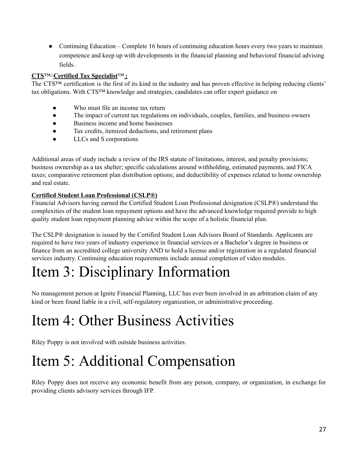• Continuing Education – Complete 16 hours of continuing education hours every two years to maintain competence and keep up with developments in the financial planning and behavioral financial advising fields.

### **CTS**™*-* **Certified Tax Specialist**™ **:**

The CTS™ certification is the first of its kind in the industry and has proven effective in helping reducing clients' tax obligations. With CTS™ knowledge and strategies, candidates can offer expert guidance on

- Who must file an income tax return
- The impact of current tax regulations on individuals, couples, families, and business owners
- Business income and home businesses
- Tax credits, itemized deductions, and retirement plans
- LLCs and S corporations

Additional areas of study include a review of the IRS statute of limitations, interest, and penalty provisions; business ownership as a tax shelter; specific calculations around withholding, estimated payments, and FICA taxes; comparative retirement plan distribution options; and deductibility of expenses related to home ownership and real estate.

#### **Certified Student Loan Professional (CSLP®)**

Financial Advisors having earned the Certified Student Loan Professional designation (CSLP®) understand the complexities of the student loan repayment options and have the advanced knowledge required provide to high quality student loan repayment planning advice within the scope of a holistic financial plan.

The CSLP® designation is issued by the Certified Student Loan Advisors Board of Standards. Applicants are required to have two years of industry experience in financial services or a Bachelor's degree in business or finance from an accredited college university AND to hold a license and/or registration in a regulated financial services industry. Continuing education requirements include annual completion of video modules.

## Item 3: Disciplinary Information

No management person at Ignite Financial Planning, LLC has ever been involved in an arbitration claim of any kind or been found liable in a civil, self-regulatory organization, or administrative proceeding.

## Item 4: Other Business Activities

Riley Poppy is not involved with outside business activities.

## Item 5: Additional Compensation

Riley Poppy does not receive any economic benefit from any person, company, or organization, in exchange for providing clients advisory services through IFP.